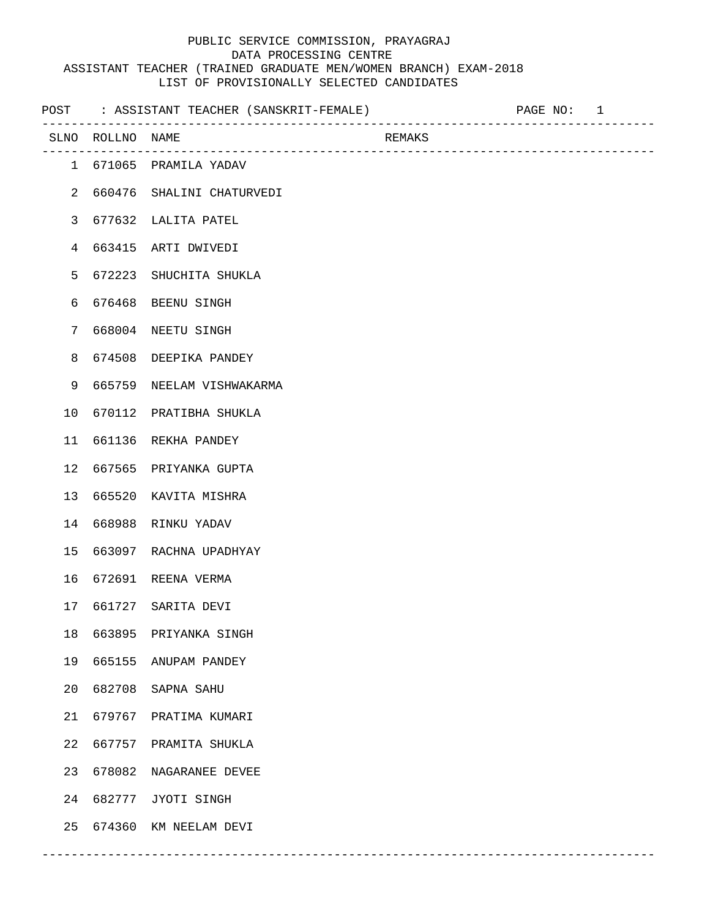|                |                  | POST : ASSISTANT TEACHER (SANSKRIT-FEMALE) | ---------------------------                | PAGE NO: 1 |  |
|----------------|------------------|--------------------------------------------|--------------------------------------------|------------|--|
|                | SLNO ROLLNO NAME | -------------------------------            | REMAKS<br>-------------------------------- |            |  |
|                |                  | 1 671065 PRAMILA YADAV                     |                                            |            |  |
| 2              |                  | 660476 SHALINI CHATURVEDI                  |                                            |            |  |
| $\mathsf{3}$   |                  | 677632 LALITA PATEL                        |                                            |            |  |
| $\overline{4}$ |                  | 663415 ARTI DWIVEDI                        |                                            |            |  |
| 5              | 672223           | SHUCHITA SHUKLA                            |                                            |            |  |
| 6              |                  | 676468 BEENU SINGH                         |                                            |            |  |
| 7              |                  | 668004 NEETU SINGH                         |                                            |            |  |
| 8              |                  | 674508 DEEPIKA PANDEY                      |                                            |            |  |
| 9              |                  | 665759 NEELAM VISHWAKARMA                  |                                            |            |  |
| 10             |                  | 670112 PRATIBHA SHUKLA                     |                                            |            |  |
| 11             |                  | 661136 REKHA PANDEY                        |                                            |            |  |
| 12             |                  | 667565 PRIYANKA GUPTA                      |                                            |            |  |
| 13             |                  | 665520 KAVITA MISHRA                       |                                            |            |  |
| 14             |                  | 668988 RINKU YADAV                         |                                            |            |  |
| 15             |                  | 663097 RACHNA UPADHYAY                     |                                            |            |  |
| 16             |                  | 672691 REENA VERMA                         |                                            |            |  |
| 17             |                  | 661727 SARITA DEVI                         |                                            |            |  |
| 18             |                  | 663895 PRIYANKA SINGH                      |                                            |            |  |
| 19             |                  | 665155 ANUPAM PANDEY                       |                                            |            |  |
| 20             |                  | 682708 SAPNA SAHU                          |                                            |            |  |
| 21             |                  | 679767 PRATIMA KUMARI                      |                                            |            |  |
| 22             |                  | 667757 PRAMITA SHUKLA                      |                                            |            |  |
| 23             |                  | 678082 NAGARANEE DEVEE                     |                                            |            |  |
| 24             |                  | 682777 JYOTI SINGH                         |                                            |            |  |
| 25             |                  | 674360 KM NEELAM DEVI                      |                                            |            |  |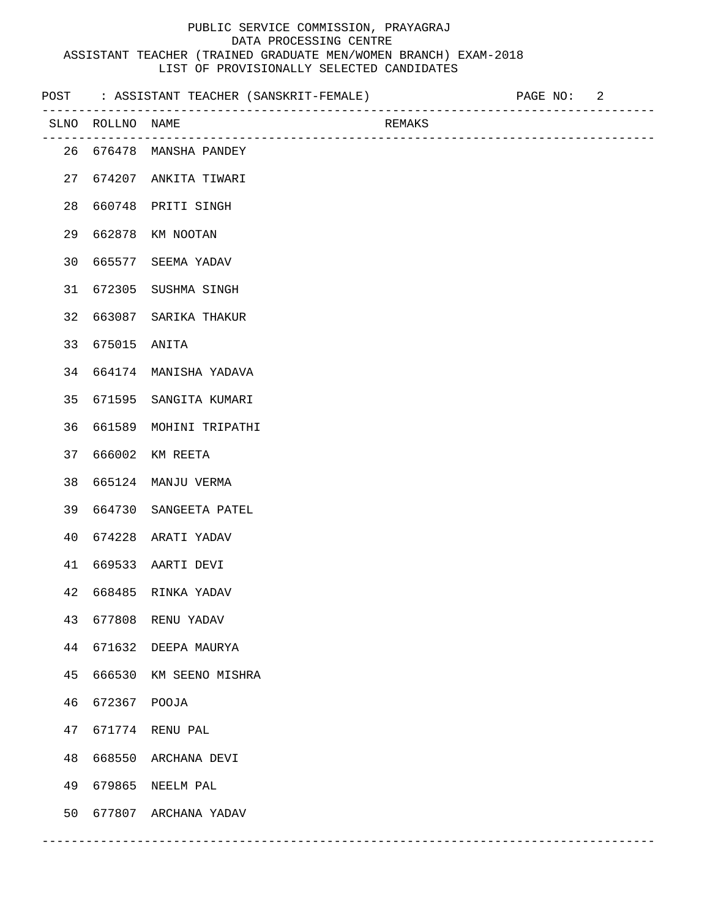|    |                  | POST : ASSISTANT TEACHER (SANSKRIT-FEMALE) |        | PAGE NO: | 2 |
|----|------------------|--------------------------------------------|--------|----------|---|
|    | SLNO ROLLNO NAME | ______________________________             | REMAKS |          |   |
|    |                  | 26 676478 MANSHA PANDEY                    |        |          |   |
|    |                  | 27 674207 ANKITA TIWARI                    |        |          |   |
|    |                  | 28 660748 PRITI SINGH                      |        |          |   |
|    |                  | 29 662878 KM NOOTAN                        |        |          |   |
|    |                  | 30 665577 SEEMA YADAV                      |        |          |   |
|    |                  | 31 672305 SUSHMA SINGH                     |        |          |   |
|    |                  | 32 663087 SARIKA THAKUR                    |        |          |   |
|    | 33 675015 ANITA  |                                            |        |          |   |
|    |                  | 34 664174 MANISHA YADAVA                   |        |          |   |
|    |                  | 35 671595 SANGITA KUMARI                   |        |          |   |
|    |                  | 36 661589 MOHINI TRIPATHI                  |        |          |   |
|    |                  | 37 666002 KM REETA                         |        |          |   |
|    |                  | 38  665124  MANJU  VERMA                   |        |          |   |
|    |                  | 39 664730 SANGEETA PATEL                   |        |          |   |
|    |                  | 40 674228 ARATI YADAV                      |        |          |   |
|    |                  | 41 669533 AARTI DEVI                       |        |          |   |
|    |                  | 42 668485 RINKA YADAV                      |        |          |   |
| 43 | 677808           | RENU YADAV                                 |        |          |   |
| 44 | 671632           | DEEPA MAURYA                               |        |          |   |
| 45 | 666530           | KM SEENO MISHRA                            |        |          |   |
| 46 | 672367           | POOJA                                      |        |          |   |
| 47 | 671774           | RENU PAL                                   |        |          |   |
| 48 | 668550           | ARCHANA DEVI                               |        |          |   |
| 49 | 679865           | NEELM PAL                                  |        |          |   |
| 50 | 677807           | ARCHANA YADAV                              |        |          |   |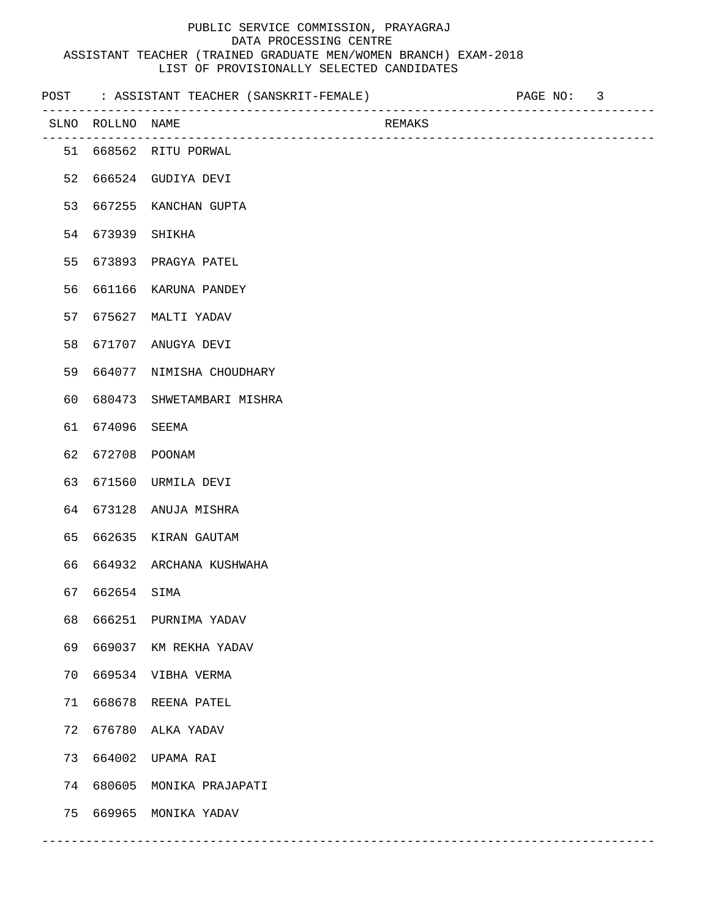|    |                  | POST : ASSISTANT TEACHER (SANSKRIT-FEMALE) |        | PAGE NO: 3 |  |
|----|------------------|--------------------------------------------|--------|------------|--|
|    | SLNO ROLLNO NAME |                                            | REMAKS |            |  |
|    |                  | 51 668562 RITU PORWAL                      |        |            |  |
| 52 |                  | 666524 GUDIYA DEVI                         |        |            |  |
| 53 |                  | 667255 KANCHAN GUPTA                       |        |            |  |
| 54 | 673939 SHIKHA    |                                            |        |            |  |
| 55 |                  | 673893 PRAGYA PATEL                        |        |            |  |
| 56 |                  | 661166 KARUNA PANDEY                       |        |            |  |
| 57 |                  | 675627 MALTI YADAV                         |        |            |  |
| 58 |                  | 671707 ANUGYA DEVI                         |        |            |  |
| 59 |                  | 664077 NIMISHA CHOUDHARY                   |        |            |  |
| 60 |                  | 680473 SHWETAMBARI MISHRA                  |        |            |  |
| 61 | 674096 SEEMA     |                                            |        |            |  |
| 62 |                  | 672708 POONAM                              |        |            |  |
| 63 |                  | 671560 URMILA DEVI                         |        |            |  |
| 64 |                  | 673128 ANUJA MISHRA                        |        |            |  |
| 65 |                  | 662635 KIRAN GAUTAM                        |        |            |  |
| 66 |                  | 664932 ARCHANA KUSHWAHA                    |        |            |  |
| 67 | 662654 SIMA      |                                            |        |            |  |
| 68 |                  | 666251 PURNIMA YADAV                       |        |            |  |
| 69 |                  | 669037 KM REKHA YADAV                      |        |            |  |
| 70 |                  | 669534 VIBHA VERMA                         |        |            |  |
| 71 | 668678           | REENA PATEL                                |        |            |  |
| 72 | 676780           | ALKA YADAV                                 |        |            |  |
| 73 | 664002           | UPAMA RAI                                  |        |            |  |
| 74 | 680605           | MONIKA PRAJAPATI                           |        |            |  |
| 75 | 669965           | MONIKA YADAV                               |        |            |  |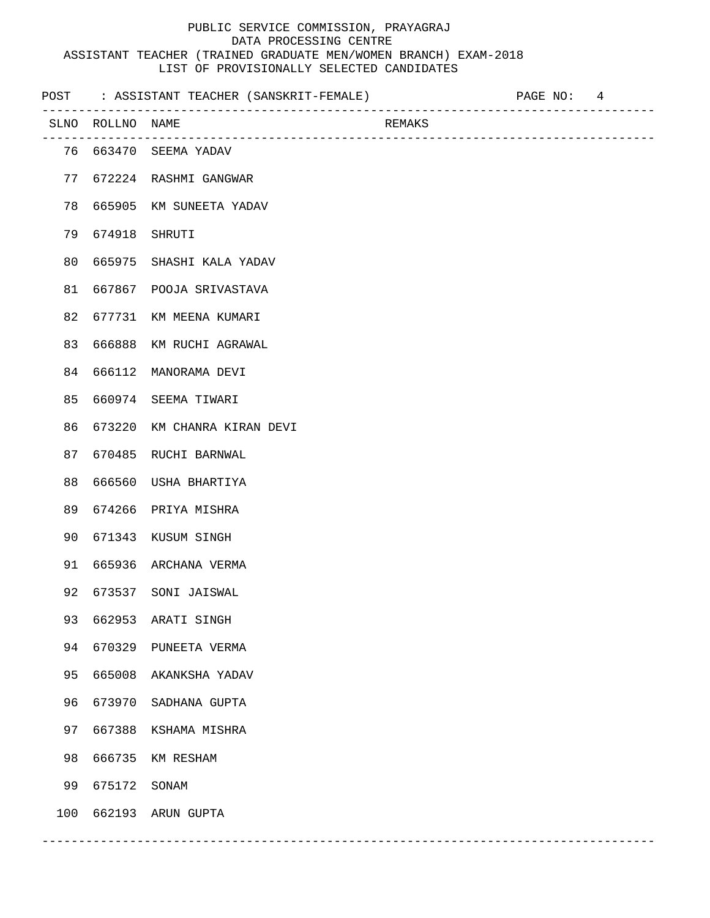|     |                  | POST : ASSISTANT TEACHER (SANSKRIT-FEMALE) |        | PAGE NO: 4 |  |
|-----|------------------|--------------------------------------------|--------|------------|--|
|     | SLNO ROLLNO NAME | _______________________________            | REMAKS |            |  |
|     |                  | 76 663470 SEEMA YADAV                      |        |            |  |
|     |                  | 77 672224 RASHMI GANGWAR                   |        |            |  |
|     |                  | 78 665905 KM SUNEETA YADAV                 |        |            |  |
|     | 79 674918 SHRUTI |                                            |        |            |  |
|     |                  | 80 665975 SHASHI KALA YADAV                |        |            |  |
|     |                  | 81 667867 POOJA SRIVASTAVA                 |        |            |  |
|     |                  | 82 677731 KM MEENA KUMARI                  |        |            |  |
|     |                  | 83 666888 KM RUCHI AGRAWAL                 |        |            |  |
|     |                  | 84 666112 MANORAMA DEVI                    |        |            |  |
|     |                  | 85 660974 SEEMA TIWARI                     |        |            |  |
|     |                  | 86 673220 KM CHANRA KIRAN DEVI             |        |            |  |
|     |                  | 87 670485 RUCHI BARNWAL                    |        |            |  |
| 88  |                  | 666560 USHA BHARTIYA                       |        |            |  |
|     |                  | 89 674266 PRIYA MISHRA                     |        |            |  |
|     |                  | 90 671343 KUSUM SINGH                      |        |            |  |
|     |                  | 91 665936 ARCHANA VERMA                    |        |            |  |
|     |                  | 92 673537 SONI JAISWAL                     |        |            |  |
| 93  | 662953           | ARATI SINGH                                |        |            |  |
| 94  | 670329           | PUNEETA VERMA                              |        |            |  |
| 95  | 665008           | AKANKSHA YADAV                             |        |            |  |
| 96  | 673970           | SADHANA GUPTA                              |        |            |  |
| 97  | 667388           | KSHAMA MISHRA                              |        |            |  |
| 98  | 666735           | KM RESHAM                                  |        |            |  |
| 99  | 675172           | SONAM                                      |        |            |  |
| 100 | 662193           | ARUN GUPTA                                 |        |            |  |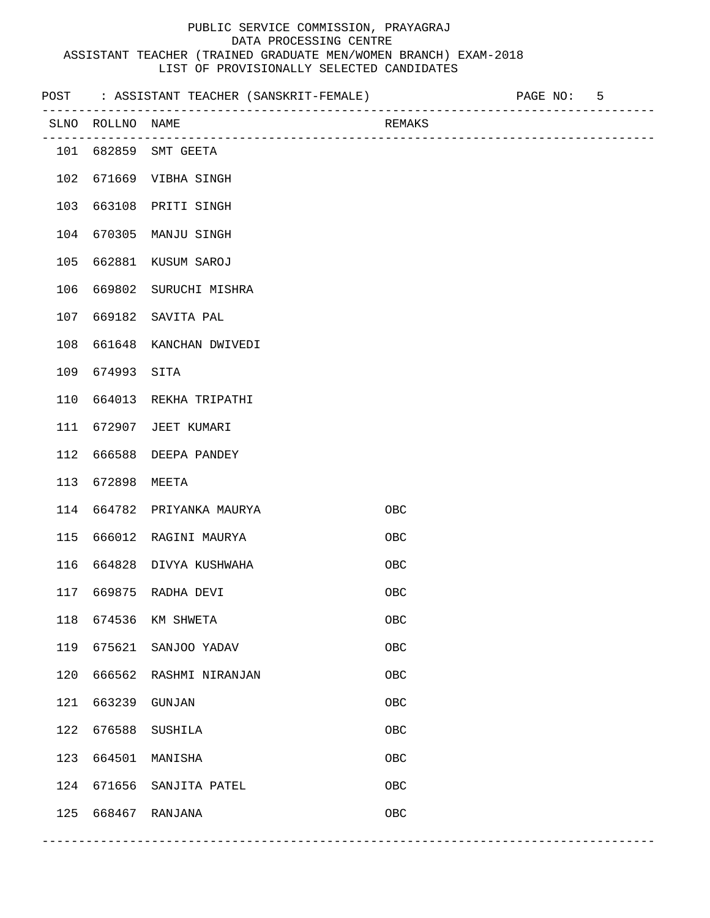|     |                  | POST : ASSISTANT TEACHER (SANSKRIT-FEMALE) | __________________________ | PAGE NO: | 5 |
|-----|------------------|--------------------------------------------|----------------------------|----------|---|
|     | SLNO ROLLNO NAME |                                            | REMAKS                     |          |   |
|     |                  | 101 682859 SMT GEETA                       |                            |          |   |
| 102 |                  | 671669 VIBHA SINGH                         |                            |          |   |
| 103 | 663108           | PRITI SINGH                                |                            |          |   |
| 104 | 670305           | MANJU SINGH                                |                            |          |   |
| 105 | 662881           | KUSUM SAROJ                                |                            |          |   |
| 106 | 669802           | SURUCHI MISHRA                             |                            |          |   |
| 107 | 669182           | SAVITA PAL                                 |                            |          |   |
| 108 | 661648           | KANCHAN DWIVEDI                            |                            |          |   |
| 109 | 674993           | SITA                                       |                            |          |   |
| 110 |                  | 664013 REKHA TRIPATHI                      |                            |          |   |
| 111 | 672907           | JEET KUMARI                                |                            |          |   |
| 112 | 666588           | DEEPA PANDEY                               |                            |          |   |
| 113 | 672898           | MEETA                                      |                            |          |   |
| 114 | 664782           | PRIYANKA MAURYA                            | <b>OBC</b>                 |          |   |
| 115 | 666012           | RAGINI MAURYA                              | OBC                        |          |   |
| 116 |                  | 664828 DIVYA KUSHWAHA                      | <b>OBC</b>                 |          |   |
| 117 | 669875           | RADHA DEVI                                 | OBC                        |          |   |
| 118 | 674536           | KM SHWETA                                  | OBC                        |          |   |
| 119 | 675621           | SANJOO YADAV                               | ${\sf OBC}$                |          |   |
| 120 | 666562           | RASHMI NIRANJAN                            | OBC                        |          |   |
| 121 | 663239           | GUNJAN                                     | OBC                        |          |   |
| 122 | 676588           | SUSHILA                                    | OBC                        |          |   |
| 123 | 664501           | MANISHA                                    | OBC                        |          |   |
| 124 | 671656           | SANJITA PATEL                              | OBC                        |          |   |
| 125 |                  | 668467 RANJANA                             | ${\sf OBC}$                |          |   |
|     |                  |                                            |                            |          |   |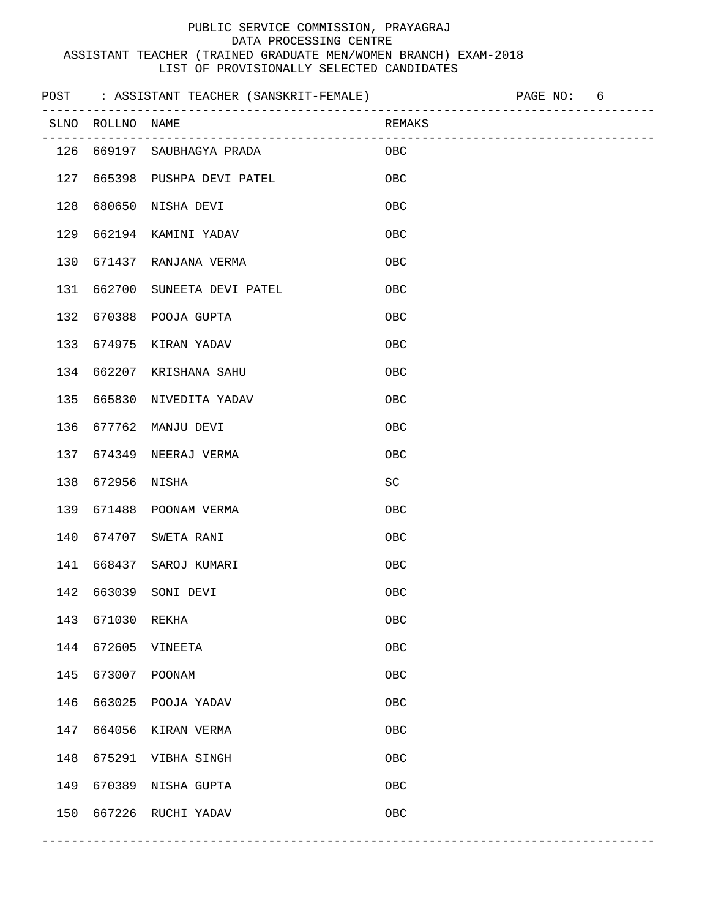|     |                  |                                  |                             | PAGE NO: | 6 |  |
|-----|------------------|----------------------------------|-----------------------------|----------|---|--|
|     | SLNO ROLLNO NAME | ________________________________ | REMAKS                      |          |   |  |
|     |                  | 126 669197 SAUBHAGYA PRADA       | OBC.                        |          |   |  |
| 127 |                  | 665398 PUSHPA DEVI PATEL         | OBC                         |          |   |  |
| 128 | 680650           | NISHA DEVI                       | <b>OBC</b>                  |          |   |  |
| 129 |                  | 662194 KAMINI YADAV              | OBC                         |          |   |  |
| 130 | 671437           | RANJANA VERMA                    | OBC                         |          |   |  |
| 131 | 662700           | SUNEETA DEVI PATEL               | OBC                         |          |   |  |
| 132 | 670388           | POOJA GUPTA                      | OBC                         |          |   |  |
| 133 | 674975           | KIRAN YADAV                      | OBC                         |          |   |  |
| 134 | 662207           | KRISHANA SAHU                    | OBC                         |          |   |  |
| 135 | 665830           | NIVEDITA YADAV                   | OBC                         |          |   |  |
| 136 | 677762           | MANJU DEVI                       | OBC                         |          |   |  |
| 137 | 674349           | NEERAJ VERMA                     | OBC                         |          |   |  |
| 138 | 672956           | NISHA                            | $\protect\operatorname{SC}$ |          |   |  |
| 139 | 671488           | POONAM VERMA                     | OBC                         |          |   |  |
| 140 | 674707           | SWETA RANI                       | OBC                         |          |   |  |
| 141 | 668437           | SAROJ KUMARI                     | OBC                         |          |   |  |
| 142 |                  | 663039 SONI DEVI                 | OBC                         |          |   |  |
| 143 | 671030           | REKHA                            | OBC                         |          |   |  |
| 144 | 672605           | VINEETA                          | ${\sf OBC}$                 |          |   |  |
| 145 | 673007           | POONAM                           | OBC                         |          |   |  |
| 146 | 663025           | POOJA YADAV                      | OBC                         |          |   |  |
| 147 | 664056           | KIRAN VERMA                      | OBC                         |          |   |  |
| 148 | 675291           | VIBHA SINGH                      | OBC                         |          |   |  |
| 149 | 670389           | NISHA GUPTA                      | OBC                         |          |   |  |
| 150 |                  | 667226 RUCHI YADAV               | OBC                         |          |   |  |
|     |                  |                                  |                             |          |   |  |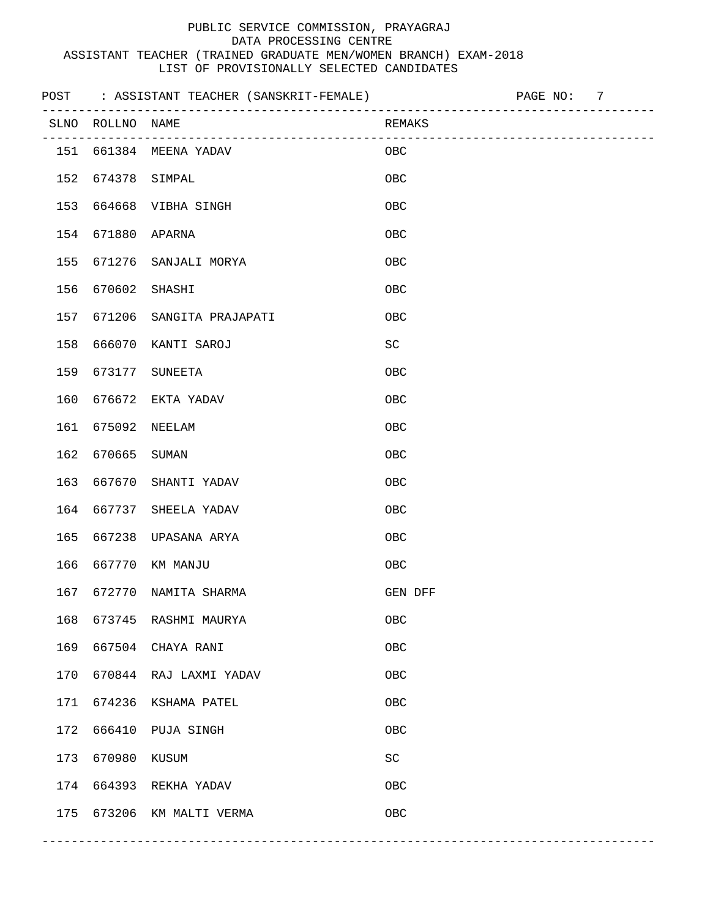|     |                  |                                  |                     | PAGE NO: | 7 |  |
|-----|------------------|----------------------------------|---------------------|----------|---|--|
|     | SLNO ROLLNO NAME | ________________________________ | REMAKS              |          |   |  |
| 151 |                  | 661384 MEENA YADAV               | OBC                 |          |   |  |
| 152 | 674378           | SIMPAL                           | $_{\rm OBC}$        |          |   |  |
| 153 | 664668           | VIBHA SINGH                      | OBC                 |          |   |  |
| 154 | 671880           | APARNA                           | OBC                 |          |   |  |
| 155 | 671276           | SANJALI MORYA                    | OBC                 |          |   |  |
| 156 | 670602           | SHASHI                           | OBC                 |          |   |  |
| 157 | 671206           | SANGITA PRAJAPATI                | OBC                 |          |   |  |
| 158 | 666070           | KANTI SAROJ                      | $\operatorname{SC}$ |          |   |  |
| 159 | 673177           | <b>SUNEETA</b>                   | OBC                 |          |   |  |
| 160 | 676672           | EKTA YADAV                       | OBC                 |          |   |  |
| 161 | 675092           | NEELAM                           | OBC                 |          |   |  |
| 162 | 670665           | SUMAN                            | OBC                 |          |   |  |
| 163 | 667670           | SHANTI YADAV                     | OBC                 |          |   |  |
| 164 | 667737           | SHEELA YADAV                     | OBC                 |          |   |  |
| 165 | 667238           | UPASANA ARYA                     | OBC                 |          |   |  |
| 166 | 667770           | KM MANJU                         | OBC                 |          |   |  |
| 167 | 672770           | NAMITA SHARMA                    | GEN DFF             |          |   |  |
| 168 |                  | 673745 RASHMI MAURYA             | OBC                 |          |   |  |
| 169 |                  | 667504 CHAYA RANI                | ${\sf OBC}$         |          |   |  |
| 170 |                  | 670844 RAJ LAXMI YADAV           | OBC                 |          |   |  |
| 171 |                  | 674236 KSHAMA PATEL              | OBC                 |          |   |  |
| 172 | 666410           | PUJA SINGH                       | OBC                 |          |   |  |
| 173 | 670980           | KUSUM                            | $\operatorname{SC}$ |          |   |  |
| 174 |                  | 664393 REKHA YADAV               | OBC                 |          |   |  |
| 175 |                  | 673206 KM MALTI VERMA            | OBC                 |          |   |  |
|     |                  |                                  |                     |          |   |  |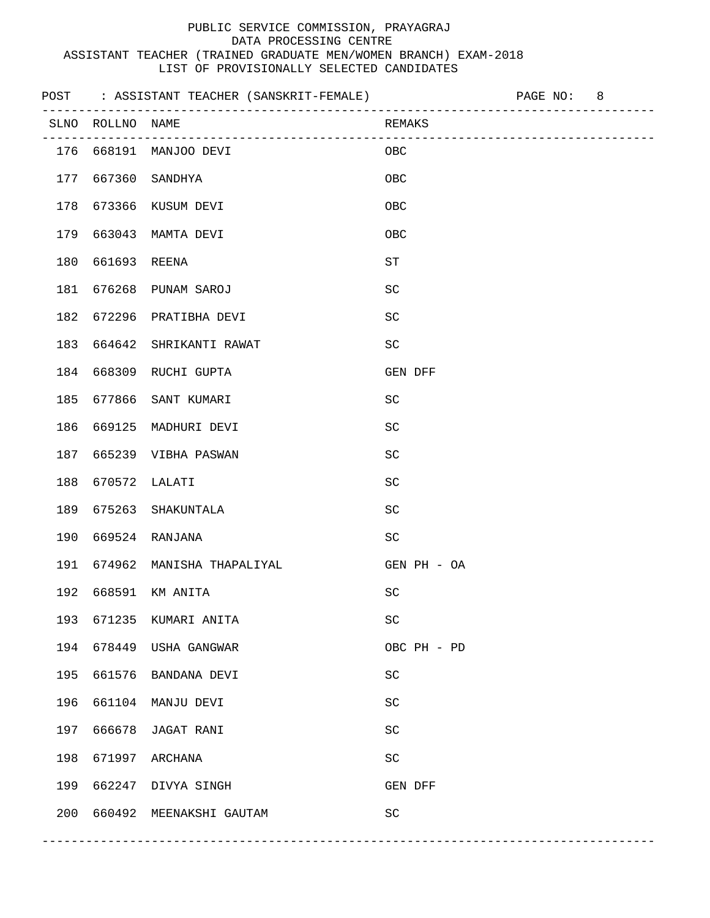|     |                  | POST : ASSISTANT TEACHER (SANSKRIT-FEMALE) |                     | PAGE NO: | 8 |
|-----|------------------|--------------------------------------------|---------------------|----------|---|
|     | SLNO ROLLNO NAME | ______________________________             | REMAKS              |          |   |
|     |                  | 176  668191  MANJOO DEVI                   | OBC                 |          |   |
| 177 | 667360           | SANDHYA                                    | OBC                 |          |   |
| 178 | 673366           | KUSUM DEVI                                 | OBC                 |          |   |
| 179 | 663043           | MAMTA DEVI                                 | OBC                 |          |   |
| 180 | 661693           | REENA                                      | ${\rm ST}$          |          |   |
| 181 | 676268           | PUNAM SAROJ                                | $\operatorname{SC}$ |          |   |
| 182 | 672296           | PRATIBHA DEVI                              | <b>SC</b>           |          |   |
| 183 | 664642           | SHRIKANTI RAWAT                            | SC                  |          |   |
| 184 | 668309           | RUCHI GUPTA                                | GEN DFF             |          |   |
| 185 | 677866           | SANT KUMARI                                | SC                  |          |   |
| 186 | 669125           | MADHURI DEVI                               | SC                  |          |   |
| 187 | 665239           | VIBHA PASWAN                               | $\operatorname{SC}$ |          |   |
| 188 | 670572           | LALATI                                     | $\operatorname{SC}$ |          |   |
| 189 | 675263           | SHAKUNTALA                                 | SC                  |          |   |
| 190 | 669524           | RANJANA                                    | <b>SC</b>           |          |   |
| 191 | 674962           | MANISHA THAPALIYAL                         | GEN PH - OA         |          |   |
| 192 | 668591           | KM ANITA                                   | SC                  |          |   |
| 193 |                  | 671235 KUMARI ANITA                        | $\operatorname{SC}$ |          |   |
| 194 |                  | 678449 USHA GANGWAR                        | OBC PH - PD         |          |   |
| 195 |                  | 661576 BANDANA DEVI                        | SC                  |          |   |
| 196 | 661104           | MANJU DEVI                                 | SC                  |          |   |
| 197 | 666678           | JAGAT RANI                                 | SC                  |          |   |
| 198 | 671997           | ARCHANA                                    | $\operatorname{SC}$ |          |   |
| 199 |                  | 662247 DIVYA SINGH                         | GEN DFF             |          |   |
| 200 |                  | 660492 MEENAKSHI GAUTAM                    | $\operatorname{SC}$ |          |   |
|     |                  |                                            |                     |          |   |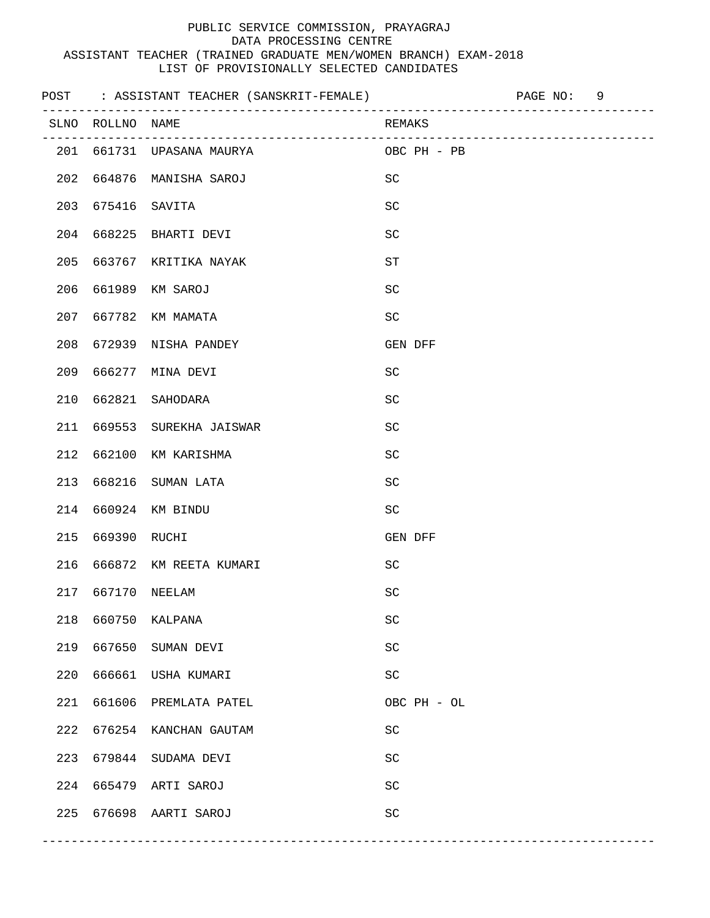|     |                                 | POST : ASSISTANT TEACHER (SANSKRIT-FEMALE) |                     | PAGE NO:<br>9 |
|-----|---------------------------------|--------------------------------------------|---------------------|---------------|
|     | SLNO ROLLNO NAME<br>----------- | --------------------------------           | REMAKS              |               |
| 201 |                                 | 661731 UPASANA MAURYA                      | OBC PH - PB         |               |
| 202 |                                 | 664876 MANISHA SAROJ                       | <b>SC</b>           |               |
| 203 | 675416                          | SAVITA                                     | SC                  |               |
| 204 | 668225                          | BHARTI DEVI                                | SC                  |               |
| 205 | 663767                          | KRITIKA NAYAK                              | ST                  |               |
| 206 | 661989                          | KM SAROJ                                   | SC                  |               |
| 207 | 667782                          | KM MAMATA                                  | $\operatorname{SC}$ |               |
| 208 | 672939                          | NISHA PANDEY                               | GEN DFF             |               |
| 209 | 666277                          | MINA DEVI                                  | <b>SC</b>           |               |
| 210 | 662821                          | SAHODARA                                   | <b>SC</b>           |               |
| 211 | 669553                          | SUREKHA JAISWAR                            | SC                  |               |
| 212 | 662100                          | KM KARISHMA                                | SC                  |               |
| 213 | 668216                          | SUMAN LATA                                 | SC                  |               |
| 214 |                                 | 660924 KM BINDU                            | SC                  |               |
| 215 | 669390                          | RUCHI                                      | GEN DFF             |               |
| 216 |                                 | 666872 KM REETA KUMARI                     | <b>SC</b>           |               |
| 217 |                                 | 667170 NEELAM                              | SC                  |               |
| 218 | 660750                          | KALPANA                                    | $\operatorname{SC}$ |               |
| 219 | 667650                          | SUMAN DEVI                                 | $\operatorname{SC}$ |               |
| 220 | 666661                          | USHA KUMARI                                | $\operatorname{SC}$ |               |
| 221 | 661606                          | PREMLATA PATEL                             | OBC PH - OL         |               |
| 222 | 676254                          | KANCHAN GAUTAM                             | $\operatorname{SC}$ |               |
| 223 | 679844                          | SUDAMA DEVI                                | SC                  |               |
| 224 | 665479                          | ARTI SAROJ                                 | $\operatorname{SC}$ |               |
| 225 |                                 | 676698 AARTI SAROJ                         | $\operatorname{SC}$ |               |
|     |                                 |                                            |                     |               |